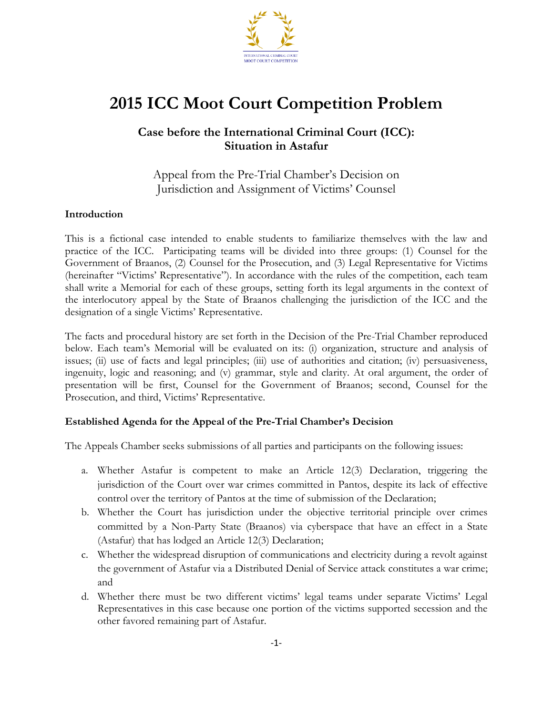

# **2015 ICC Moot Court Competition Problem**

### **Case before the International Criminal Court (ICC): Situation in Astafur**

Appeal from the Pre-Trial Chamber's Decision on Jurisdiction and Assignment of Victims' Counsel

### **Introduction**

This is a fictional case intended to enable students to familiarize themselves with the law and practice of the ICC. Participating teams will be divided into three groups: (1) Counsel for the Government of Braanos, (2) Counsel for the Prosecution, and (3) Legal Representative for Victims (hereinafter "Victims' Representative"). In accordance with the rules of the competition, each team shall write a Memorial for each of these groups, setting forth its legal arguments in the context of the interlocutory appeal by the State of Braanos challenging the jurisdiction of the ICC and the designation of a single Victims' Representative.

The facts and procedural history are set forth in the Decision of the Pre-Trial Chamber reproduced below. Each team's Memorial will be evaluated on its: (i) organization, structure and analysis of issues; (ii) use of facts and legal principles; (iii) use of authorities and citation; (iv) persuasiveness, ingenuity, logic and reasoning; and (v) grammar, style and clarity. At oral argument, the order of presentation will be first, Counsel for the Government of Braanos; second, Counsel for the Prosecution, and third, Victims' Representative.

### **Established Agenda for the Appeal of the Pre-Trial Chamber's Decision**

The Appeals Chamber seeks submissions of all parties and participants on the following issues:

- a. Whether Astafur is competent to make an Article 12(3) Declaration, triggering the jurisdiction of the Court over war crimes committed in Pantos, despite its lack of effective control over the territory of Pantos at the time of submission of the Declaration;
- b. Whether the Court has jurisdiction under the objective territorial principle over crimes committed by a Non-Party State (Braanos) via cyberspace that have an effect in a State (Astafur) that has lodged an Article 12(3) Declaration;
- c. Whether the widespread disruption of communications and electricity during a revolt against the government of Astafur via a Distributed Denial of Service attack constitutes a war crime; and
- d. Whether there must be two different victims' legal teams under separate Victims' Legal Representatives in this case because one portion of the victims supported secession and the other favored remaining part of Astafur.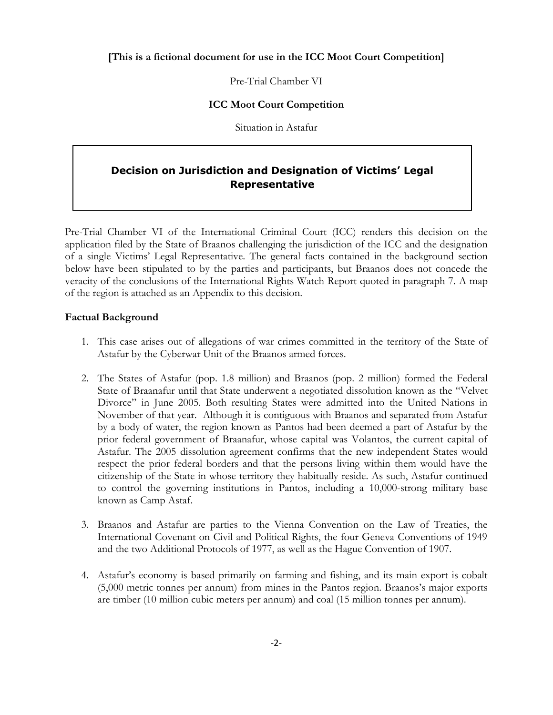Pre-Trial Chamber VI

### **ICC Moot Court Competition**

Situation in Astafur

### **Decision on Jurisdiction and Designation of Victims' Legal Representative**

Pre-Trial Chamber VI of the International Criminal Court (ICC) renders this decision on the application filed by the State of Braanos challenging the jurisdiction of the ICC and the designation of a single Victims' Legal Representative. The general facts contained in the background section below have been stipulated to by the parties and participants, but Braanos does not concede the veracity of the conclusions of the International Rights Watch Report quoted in paragraph 7. A map of the region is attached as an Appendix to this decision.

### **Factual Background**

- 1. This case arises out of allegations of war crimes committed in the territory of the State of Astafur by the Cyberwar Unit of the Braanos armed forces.
- 2. The States of Astafur (pop. 1.8 million) and Braanos (pop. 2 million) formed the Federal State of Braanafur until that State underwent a negotiated dissolution known as the "Velvet Divorce" in June 2005. Both resulting States were admitted into the United Nations in November of that year. Although it is contiguous with Braanos and separated from Astafur by a body of water, the region known as Pantos had been deemed a part of Astafur by the prior federal government of Braanafur, whose capital was Volantos, the current capital of Astafur. The 2005 dissolution agreement confirms that the new independent States would respect the prior federal borders and that the persons living within them would have the citizenship of the State in whose territory they habitually reside. As such, Astafur continued to control the governing institutions in Pantos, including a 10,000-strong military base known as Camp Astaf.
- 3. Braanos and Astafur are parties to the Vienna Convention on the Law of Treaties, the International Covenant on Civil and Political Rights, the four Geneva Conventions of 1949 and the two Additional Protocols of 1977, as well as the Hague Convention of 1907.
- 4. Astafur's economy is based primarily on farming and fishing, and its main export is cobalt (5,000 metric tonnes per annum) from mines in the Pantos region. Braanos's major exports are timber (10 million cubic meters per annum) and coal (15 million tonnes per annum).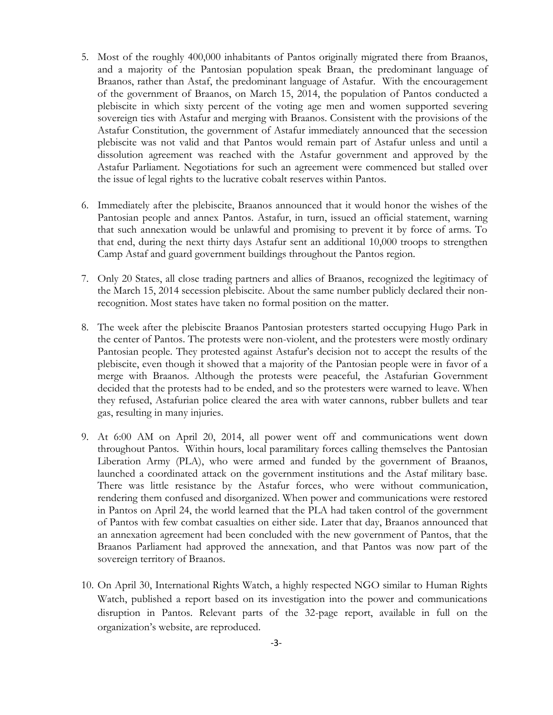- 5. Most of the roughly 400,000 inhabitants of Pantos originally migrated there from Braanos, and a majority of the Pantosian population speak Braan, the predominant language of Braanos, rather than Astaf, the predominant language of Astafur. With the encouragement of the government of Braanos, on March 15, 2014, the population of Pantos conducted a plebiscite in which sixty percent of the voting age men and women supported severing sovereign ties with Astafur and merging with Braanos. Consistent with the provisions of the Astafur Constitution, the government of Astafur immediately announced that the secession plebiscite was not valid and that Pantos would remain part of Astafur unless and until a dissolution agreement was reached with the Astafur government and approved by the Astafur Parliament. Negotiations for such an agreement were commenced but stalled over the issue of legal rights to the lucrative cobalt reserves within Pantos.
- 6. Immediately after the plebiscite, Braanos announced that it would honor the wishes of the Pantosian people and annex Pantos. Astafur, in turn, issued an official statement, warning that such annexation would be unlawful and promising to prevent it by force of arms. To that end, during the next thirty days Astafur sent an additional 10,000 troops to strengthen Camp Astaf and guard government buildings throughout the Pantos region.
- 7. Only 20 States, all close trading partners and allies of Braanos, recognized the legitimacy of the March 15, 2014 secession plebiscite. About the same number publicly declared their nonrecognition. Most states have taken no formal position on the matter.
- 8. The week after the plebiscite Braanos Pantosian protesters started occupying Hugo Park in the center of Pantos. The protests were non-violent, and the protesters were mostly ordinary Pantosian people. They protested against Astafur's decision not to accept the results of the plebiscite, even though it showed that a majority of the Pantosian people were in favor of a merge with Braanos. Although the protests were peaceful, the Astafurian Government decided that the protests had to be ended, and so the protesters were warned to leave. When they refused, Astafurian police cleared the area with water cannons, rubber bullets and tear gas, resulting in many injuries.
- 9. At 6:00 AM on April 20, 2014, all power went off and communications went down throughout Pantos. Within hours, local paramilitary forces calling themselves the Pantosian Liberation Army (PLA), who were armed and funded by the government of Braanos, launched a coordinated attack on the government institutions and the Astaf military base. There was little resistance by the Astafur forces, who were without communication, rendering them confused and disorganized. When power and communications were restored in Pantos on April 24, the world learned that the PLA had taken control of the government of Pantos with few combat casualties on either side. Later that day, Braanos announced that an annexation agreement had been concluded with the new government of Pantos, that the Braanos Parliament had approved the annexation, and that Pantos was now part of the sovereign territory of Braanos.
- 10. On April 30, International Rights Watch, a highly respected NGO similar to Human Rights Watch, published a report based on its investigation into the power and communications disruption in Pantos. Relevant parts of the 32-page report, available in full on the organization's website, are reproduced.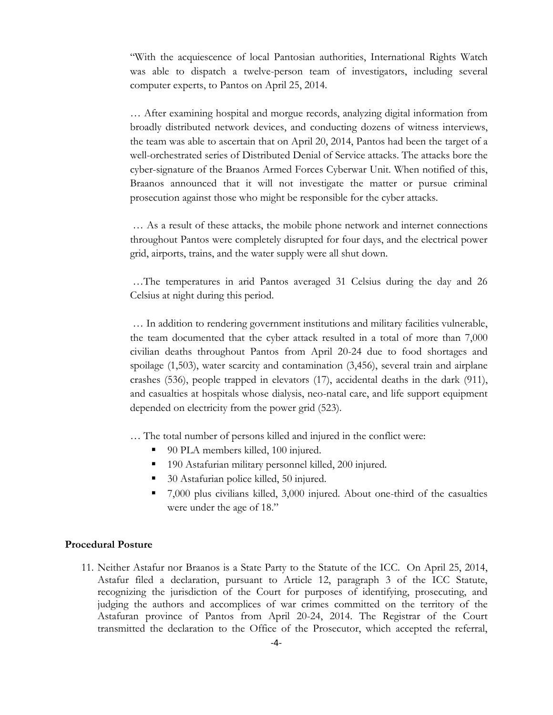"With the acquiescence of local Pantosian authorities, International Rights Watch was able to dispatch a twelve-person team of investigators, including several computer experts, to Pantos on April 25, 2014.

… After examining hospital and morgue records, analyzing digital information from broadly distributed network devices, and conducting dozens of witness interviews, the team was able to ascertain that on April 20, 2014, Pantos had been the target of a well-orchestrated series of Distributed Denial of Service attacks. The attacks bore the cyber-signature of the Braanos Armed Forces Cyberwar Unit. When notified of this, Braanos announced that it will not investigate the matter or pursue criminal prosecution against those who might be responsible for the cyber attacks.

… As a result of these attacks, the mobile phone network and internet connections throughout Pantos were completely disrupted for four days, and the electrical power grid, airports, trains, and the water supply were all shut down.

…The temperatures in arid Pantos averaged 31 Celsius during the day and 26 Celsius at night during this period.

… In addition to rendering government institutions and military facilities vulnerable, the team documented that the cyber attack resulted in a total of more than 7,000 civilian deaths throughout Pantos from April 20-24 due to food shortages and spoilage (1,503), water scarcity and contamination (3,456), several train and airplane crashes (536), people trapped in elevators (17), accidental deaths in the dark (911), and casualties at hospitals whose dialysis, neo-natal care, and life support equipment depended on electricity from the power grid (523).

… The total number of persons killed and injured in the conflict were:

- 90 PLA members killed, 100 injured.
- 190 Astafurian military personnel killed, 200 injured.
- 30 Astafurian police killed, 50 injured.
- 7,000 plus civilians killed, 3,000 injured. About one-third of the casualties were under the age of 18."

#### **Procedural Posture**

11. Neither Astafur nor Braanos is a State Party to the Statute of the ICC. On April 25, 2014, Astafur filed a declaration, pursuant to Article 12, paragraph 3 of the ICC Statute, recognizing the jurisdiction of the Court for purposes of identifying, prosecuting, and judging the authors and accomplices of war crimes committed on the territory of the Astafuran province of Pantos from April 20-24, 2014. The Registrar of the Court transmitted the declaration to the Office of the Prosecutor, which accepted the referral,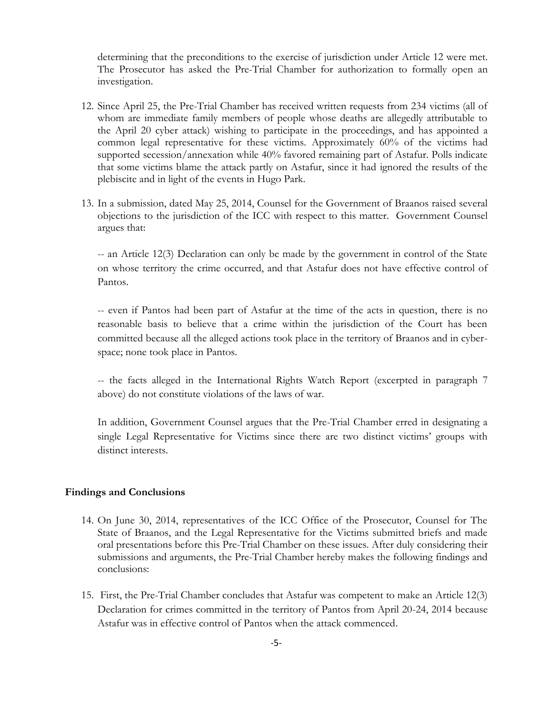determining that the preconditions to the exercise of jurisdiction under Article 12 were met. The Prosecutor has asked the Pre-Trial Chamber for authorization to formally open an investigation.

- 12. Since April 25, the Pre-Trial Chamber has received written requests from 234 victims (all of whom are immediate family members of people whose deaths are allegedly attributable to the April 20 cyber attack) wishing to participate in the proceedings, and has appointed a common legal representative for these victims. Approximately 60% of the victims had supported secession/annexation while 40% favored remaining part of Astafur. Polls indicate that some victims blame the attack partly on Astafur, since it had ignored the results of the plebiscite and in light of the events in Hugo Park.
- 13. In a submission, dated May 25, 2014, Counsel for the Government of Braanos raised several objections to the jurisdiction of the ICC with respect to this matter. Government Counsel argues that:

-- an Article 12(3) Declaration can only be made by the government in control of the State on whose territory the crime occurred, and that Astafur does not have effective control of Pantos.

-- even if Pantos had been part of Astafur at the time of the acts in question, there is no reasonable basis to believe that a crime within the jurisdiction of the Court has been committed because all the alleged actions took place in the territory of Braanos and in cyberspace; none took place in Pantos.

-- the facts alleged in the International Rights Watch Report (excerpted in paragraph 7 above) do not constitute violations of the laws of war.

In addition, Government Counsel argues that the Pre-Trial Chamber erred in designating a single Legal Representative for Victims since there are two distinct victims' groups with distinct interests.

#### **Findings and Conclusions**

- 14. On June 30, 2014, representatives of the ICC Office of the Prosecutor, Counsel for The State of Braanos, and the Legal Representative for the Victims submitted briefs and made oral presentations before this Pre-Trial Chamber on these issues. After duly considering their submissions and arguments, the Pre-Trial Chamber hereby makes the following findings and conclusions:
- 15. First, the Pre-Trial Chamber concludes that Astafur was competent to make an Article 12(3) Declaration for crimes committed in the territory of Pantos from April 20-24, 2014 because Astafur was in effective control of Pantos when the attack commenced.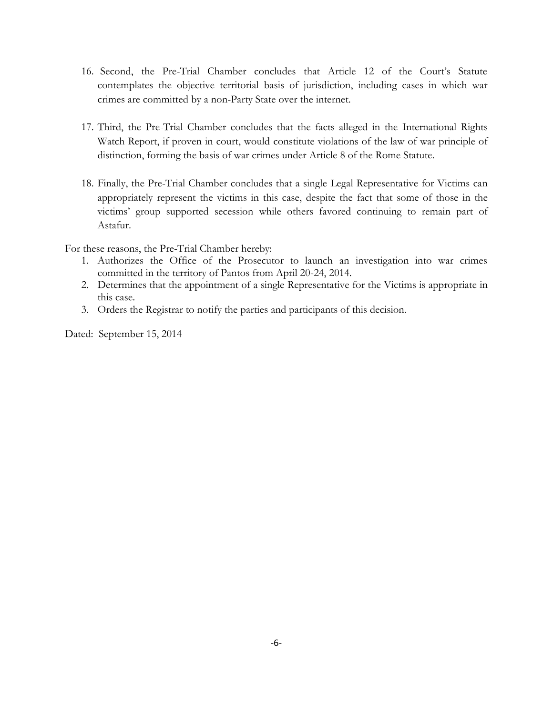- 16. Second, the Pre-Trial Chamber concludes that Article 12 of the Court's Statute contemplates the objective territorial basis of jurisdiction, including cases in which war crimes are committed by a non-Party State over the internet.
- 17. Third, the Pre-Trial Chamber concludes that the facts alleged in the International Rights Watch Report, if proven in court, would constitute violations of the law of war principle of distinction, forming the basis of war crimes under Article 8 of the Rome Statute.
- 18. Finally, the Pre-Trial Chamber concludes that a single Legal Representative for Victims can appropriately represent the victims in this case, despite the fact that some of those in the victims' group supported secession while others favored continuing to remain part of Astafur.

For these reasons, the Pre-Trial Chamber hereby:

- 1. Authorizes the Office of the Prosecutor to launch an investigation into war crimes committed in the territory of Pantos from April 20-24, 2014.
- 2. Determines that the appointment of a single Representative for the Victims is appropriate in this case.
- 3. Orders the Registrar to notify the parties and participants of this decision.

Dated: September 15, 2014